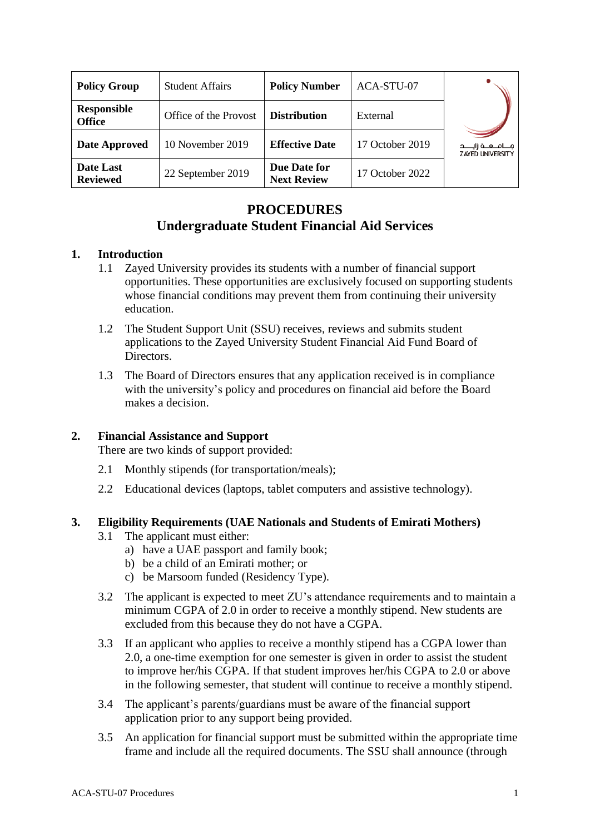| <b>Policy Group</b>                 | <b>Student Affairs</b> | <b>Policy Number</b>               | ACA-STU-07      |                                                  |
|-------------------------------------|------------------------|------------------------------------|-----------------|--------------------------------------------------|
| <b>Responsible</b><br><b>Office</b> | Office of the Provost  | <b>Distribution</b>                | External        |                                                  |
| <b>Date Approved</b>                | 10 November 2019       | <b>Effective Date</b>              | 17 October 2019 | مـــامــعــة زايــــد<br><b>ZAYED UNIVERSITY</b> |
| Date Last<br><b>Reviewed</b>        | 22 September 2019      | Due Date for<br><b>Next Review</b> | 17 October 2022 |                                                  |

# **PROCEDURES Undergraduate Student Financial Aid Services**

## **1. Introduction**

- 1.1 Zayed University provides its students with a number of financial support opportunities. These opportunities are exclusively focused on supporting students whose financial conditions may prevent them from continuing their university education.
- 1.2 The Student Support Unit (SSU) receives, reviews and submits student applications to the Zayed University Student Financial Aid Fund Board of Directors.
- 1.3 The Board of Directors ensures that any application received is in compliance with the university's policy and procedures on financial aid before the Board makes a decision.

#### **2. Financial Assistance and Support**

There are two kinds of support provided:

- 2.1 Monthly stipends (for transportation/meals);
- 2.2 Educational devices (laptops, tablet computers and assistive technology).

# **3. Eligibility Requirements (UAE Nationals and Students of Emirati Mothers)**

- 3.1 The applicant must either:
	- a) have a UAE passport and family book;
	- b) be a child of an Emirati mother; or
	- c) be Marsoom funded (Residency Type).
- 3.2 The applicant is expected to meet ZU's attendance requirements and to maintain a minimum CGPA of 2.0 in order to receive a monthly stipend. New students are excluded from this because they do not have a CGPA.
- 3.3 If an applicant who applies to receive a monthly stipend has a CGPA lower than 2.0, a one-time exemption for one semester is given in order to assist the student to improve her/his CGPA. If that student improves her/his CGPA to 2.0 or above in the following semester, that student will continue to receive a monthly stipend.
- 3.4 The applicant's parents/guardians must be aware of the financial support application prior to any support being provided.
- 3.5 An application for financial support must be submitted within the appropriate time frame and include all the required documents. The SSU shall announce (through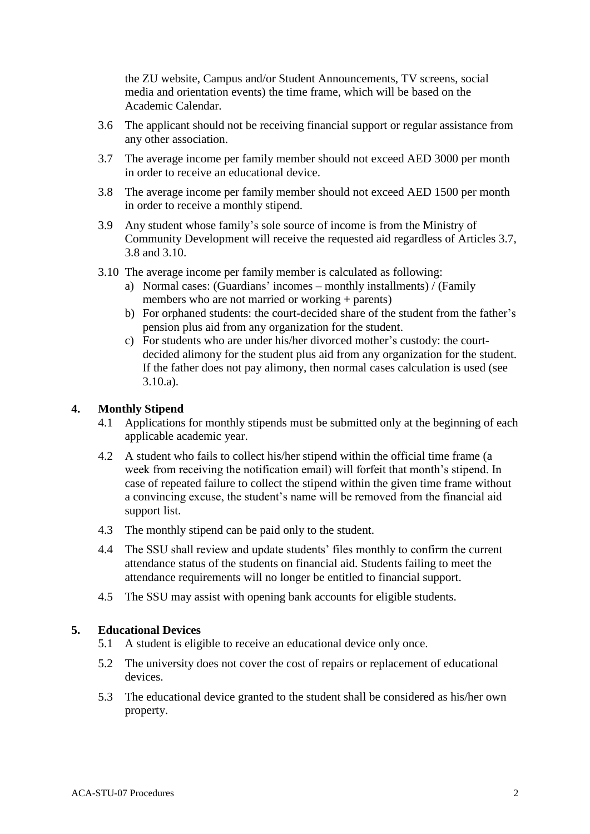the ZU website, Campus and/or Student Announcements, TV screens, social media and orientation events) the time frame, which will be based on the Academic Calendar.

- 3.6 The applicant should not be receiving financial support or regular assistance from any other association.
- 3.7 The average income per family member should not exceed AED 3000 per month in order to receive an educational device.
- 3.8 The average income per family member should not exceed AED 1500 per month in order to receive a monthly stipend.
- 3.9 Any student whose family's sole source of income is from the Ministry of Community Development will receive the requested aid regardless of Articles 3.7, 3.8 and 3.10.
- 3.10 The average income per family member is calculated as following:
	- a) Normal cases: (Guardians' incomes monthly installments) / (Family members who are not married or working + parents)
	- b) For orphaned students: the court-decided share of the student from the father's pension plus aid from any organization for the student.
	- c) For students who are under his/her divorced mother's custody: the courtdecided alimony for the student plus aid from any organization for the student. If the father does not pay alimony, then normal cases calculation is used (see 3.10.a).

#### **4. Monthly Stipend**

- 4.1 Applications for monthly stipends must be submitted only at the beginning of each applicable academic year.
- 4.2 A student who fails to collect his/her stipend within the official time frame (a week from receiving the notification email) will forfeit that month's stipend. In case of repeated failure to collect the stipend within the given time frame without a convincing excuse, the student's name will be removed from the financial aid support list.
- 4.3 The monthly stipend can be paid only to the student.
- 4.4 The SSU shall review and update students' files monthly to confirm the current attendance status of the students on financial aid. Students failing to meet the attendance requirements will no longer be entitled to financial support.
- 4.5 The SSU may assist with opening bank accounts for eligible students.

#### **5. Educational Devices**

- 5.1 A student is eligible to receive an educational device only once.
- 5.2 The university does not cover the cost of repairs or replacement of educational devices.
- 5.3 The educational device granted to the student shall be considered as his/her own property.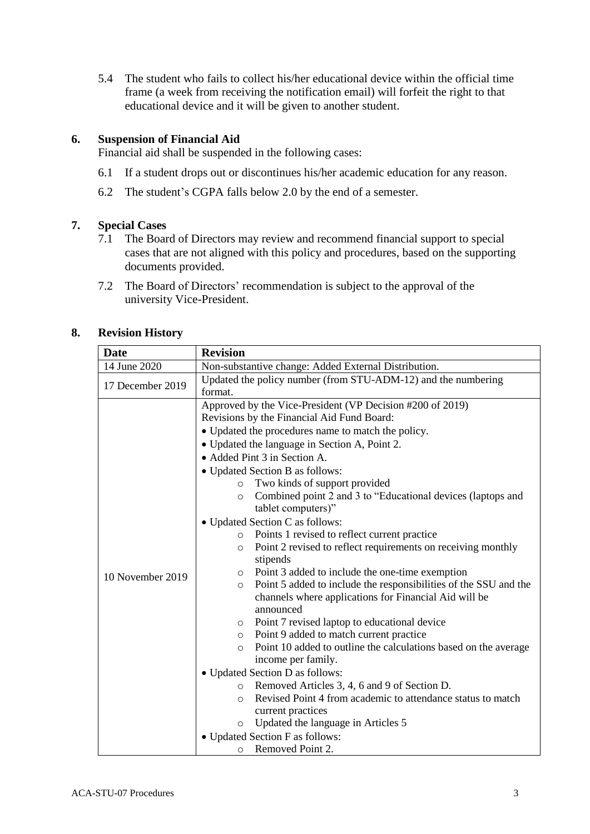5.4 The student who fails to collect his/her educational device within the official time frame (a week from receiving the notification email) will forfeit the right to that educational device and it will be given to another student.

# **6. Suspension of Financial Aid**

Financial aid shall be suspended in the following cases:

- 6.1 If a student drops out or discontinues his/her academic education for any reason.
- 6.2 The student's CGPA falls below 2.0 by the end of a semester.

#### **7. Special Cases**

- 7.1 The Board of Directors may review and recommend financial support to special cases that are not aligned with this policy and procedures, based on the supporting documents provided.
- 7.2 The Board of Directors' recommendation is subject to the approval of the university Vice-President.

## **8. Revision History**

| <b>Date</b>      | <b>Revision</b>                                                                                                                                                                                                                                                                                                                                                                                                                                                                                                                                                                                                                                                                                                                                                                                                                                                                                                                                                                                                                                                                                                                                                                                                                                                                                                                                                |  |  |
|------------------|----------------------------------------------------------------------------------------------------------------------------------------------------------------------------------------------------------------------------------------------------------------------------------------------------------------------------------------------------------------------------------------------------------------------------------------------------------------------------------------------------------------------------------------------------------------------------------------------------------------------------------------------------------------------------------------------------------------------------------------------------------------------------------------------------------------------------------------------------------------------------------------------------------------------------------------------------------------------------------------------------------------------------------------------------------------------------------------------------------------------------------------------------------------------------------------------------------------------------------------------------------------------------------------------------------------------------------------------------------------|--|--|
| 14 June 2020     | Non-substantive change: Added External Distribution.                                                                                                                                                                                                                                                                                                                                                                                                                                                                                                                                                                                                                                                                                                                                                                                                                                                                                                                                                                                                                                                                                                                                                                                                                                                                                                           |  |  |
| 17 December 2019 | Updated the policy number (from STU-ADM-12) and the numbering<br>format.                                                                                                                                                                                                                                                                                                                                                                                                                                                                                                                                                                                                                                                                                                                                                                                                                                                                                                                                                                                                                                                                                                                                                                                                                                                                                       |  |  |
| 10 November 2019 | Approved by the Vice-President (VP Decision #200 of 2019)<br>Revisions by the Financial Aid Fund Board:<br>• Updated the procedures name to match the policy.<br>• Updated the language in Section A, Point 2.<br>• Added Pint 3 in Section A.<br>• Updated Section B as follows:<br>Two kinds of support provided<br>$\circ$<br>Combined point 2 and 3 to "Educational devices (laptops and<br>$\circ$<br>tablet computers)"<br>• Updated Section C as follows:<br>Points 1 revised to reflect current practice<br>$\circ$<br>Point 2 revised to reflect requirements on receiving monthly<br>$\circ$<br>stipends<br>Point 3 added to include the one-time exemption<br>$\circ$<br>Point 5 added to include the responsibilities of the SSU and the<br>$\circ$<br>channels where applications for Financial Aid will be<br>announced<br>Point 7 revised laptop to educational device<br>$\circ$<br>Point 9 added to match current practice<br>O<br>Point 10 added to outline the calculations based on the average<br>$\circ$<br>income per family.<br>• Updated Section D as follows:<br>Removed Articles 3, 4, 6 and 9 of Section D.<br>$\circ$<br>Revised Point 4 from academic to attendance status to match<br>$\circ$<br>current practices<br>Updated the language in Articles 5<br>$\circ$<br>• Updated Section F as follows:<br>Removed Point 2.<br>O |  |  |
|                  |                                                                                                                                                                                                                                                                                                                                                                                                                                                                                                                                                                                                                                                                                                                                                                                                                                                                                                                                                                                                                                                                                                                                                                                                                                                                                                                                                                |  |  |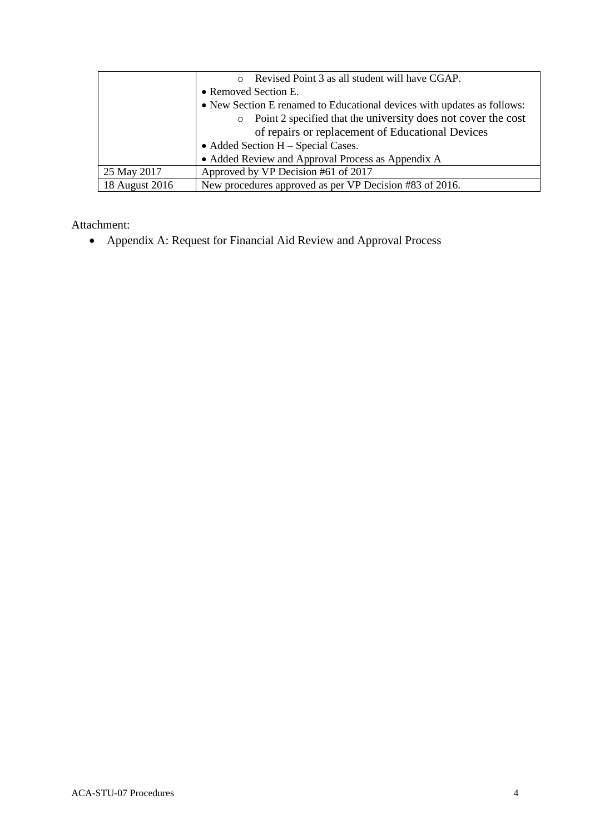|                | Revised Point 3 as all student will have CGAP.                           |  |
|----------------|--------------------------------------------------------------------------|--|
|                | • Removed Section E.                                                     |  |
|                | • New Section E renamed to Educational devices with updates as follows:  |  |
|                | Point 2 specified that the university does not cover the cost<br>$\circ$ |  |
|                | of repairs or replacement of Educational Devices                         |  |
|                | • Added Section $H - Special Cases$ .                                    |  |
|                | • Added Review and Approval Process as Appendix A                        |  |
| 25 May 2017    | Approved by VP Decision #61 of 2017                                      |  |
| 18 August 2016 | New procedures approved as per VP Decision #83 of 2016.                  |  |

Attachment:

• Appendix A: Request for Financial Aid Review and Approval Process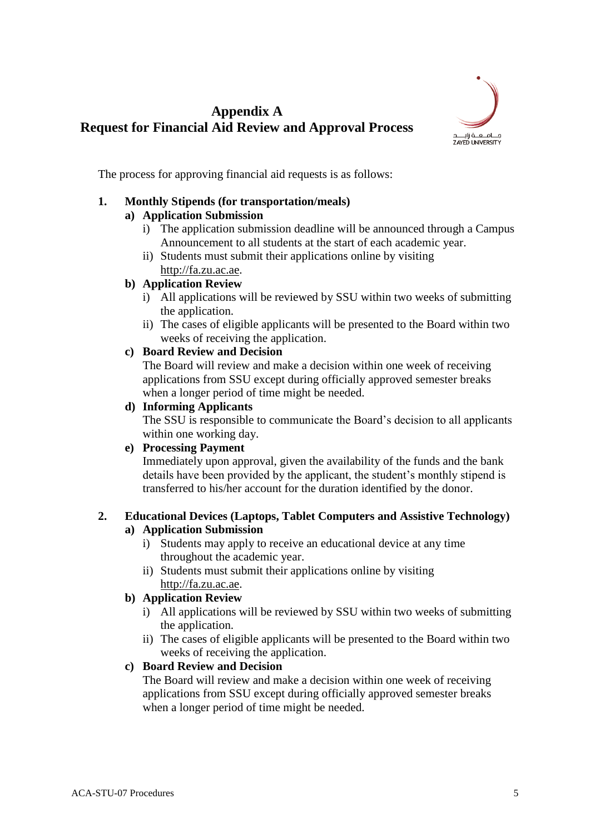# **Appendix A Request for Financial Aid Review and Approval Process**



The process for approving financial aid requests is as follows:

# **1. Monthly Stipends (for transportation/meals)**

## **a) Application Submission**

- i) The application submission deadline will be announced through a Campus Announcement to all students at the start of each academic year.
- ii) Students must submit their applications online by visiting [http://fa.zu.ac.ae.](http://fa.zu.ac.ae/)

# **b) Application Review**

- i) All applications will be reviewed by SSU within two weeks of submitting the application.
- ii) The cases of eligible applicants will be presented to the Board within two weeks of receiving the application.

## **c) Board Review and Decision**

The Board will review and make a decision within one week of receiving applications from SSU except during officially approved semester breaks when a longer period of time might be needed.

## **d) Informing Applicants**

The SSU is responsible to communicate the Board's decision to all applicants within one working day.

# **e) Processing Payment**

Immediately upon approval, given the availability of the funds and the bank details have been provided by the applicant, the student's monthly stipend is transferred to his/her account for the duration identified by the donor.

#### **2. Educational Devices (Laptops, Tablet Computers and Assistive Technology) a) Application Submission**

# i) Students may apply to receive an educational device at any time

- throughout the academic year. ii) Students must submit their applications online by visiting
	- [http://fa.zu.ac.ae.](http://fa.zu.ac.ae/)

# **b) Application Review**

- i) All applications will be reviewed by SSU within two weeks of submitting the application.
- ii) The cases of eligible applicants will be presented to the Board within two weeks of receiving the application.

# **c) Board Review and Decision**

The Board will review and make a decision within one week of receiving applications from SSU except during officially approved semester breaks when a longer period of time might be needed.